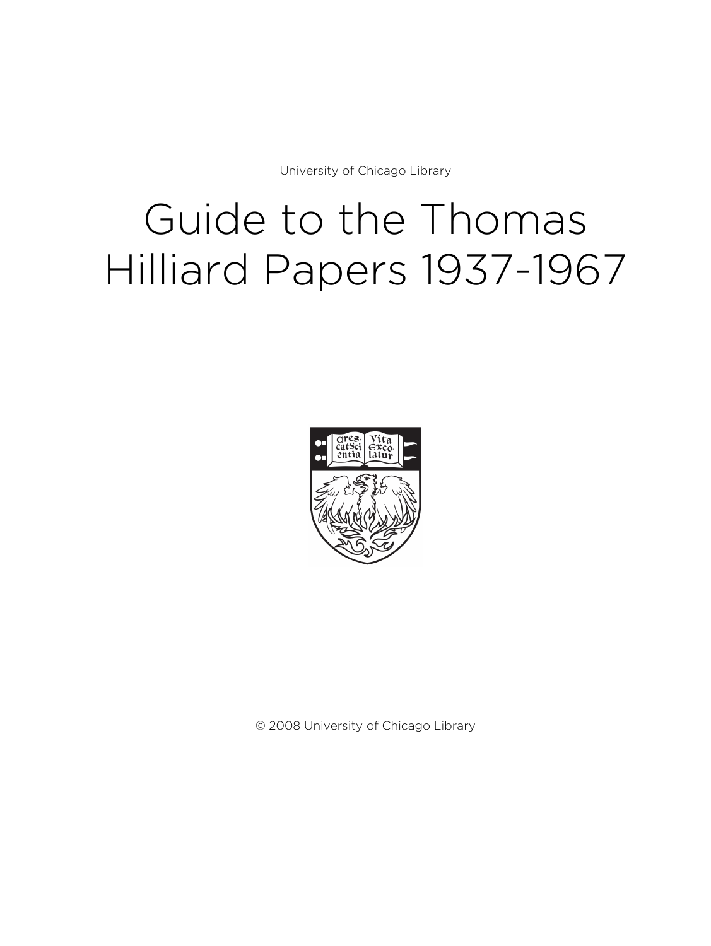University of Chicago Library

# Guide to the Thomas Hilliard Papers 1937-1967



© 2008 University of Chicago Library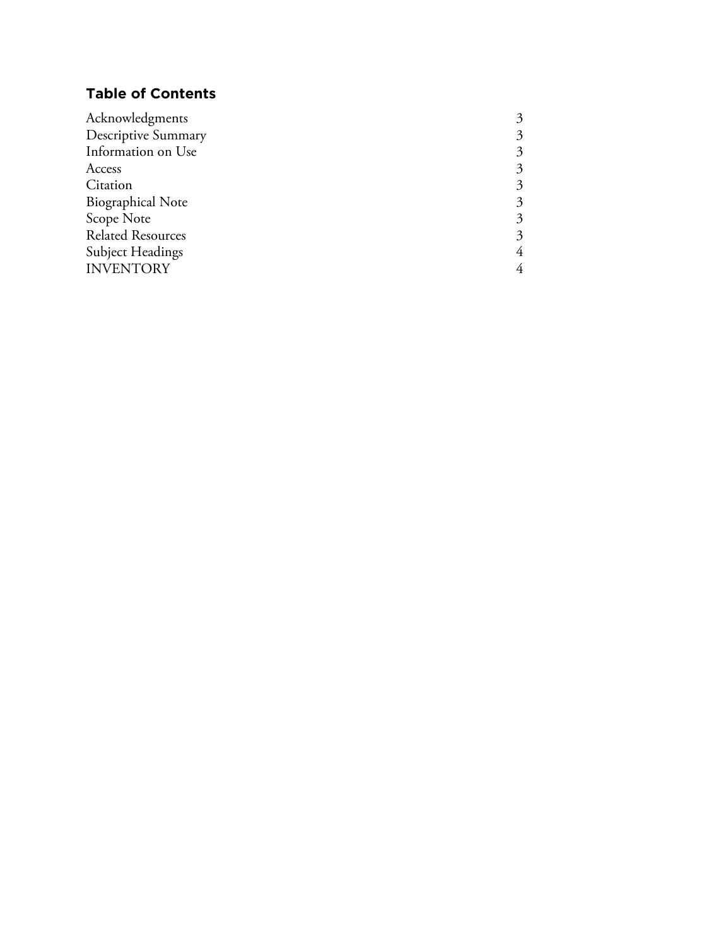# **Table of Contents**

| 3 |
|---|
| 3 |
| 3 |
| 3 |
| 3 |
| 3 |
| 3 |
| 4 |
| 4 |
|   |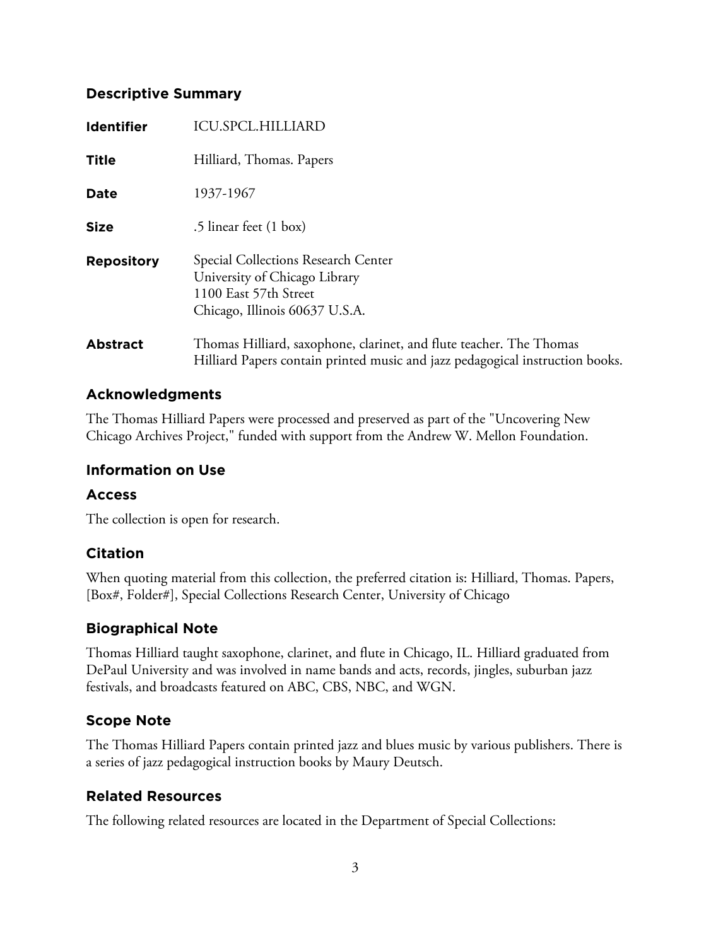# **Descriptive Summary**

| <b>Identifier</b> | <b>ICU.SPCL.HILLIARD</b>                                                                                                                            |
|-------------------|-----------------------------------------------------------------------------------------------------------------------------------------------------|
| Title             | Hilliard, Thomas. Papers                                                                                                                            |
| <b>Date</b>       | 1937-1967                                                                                                                                           |
| <b>Size</b>       | .5 linear feet (1 box)                                                                                                                              |
| <b>Repository</b> | Special Collections Research Center<br>University of Chicago Library<br>1100 East 57th Street<br>Chicago, Illinois 60637 U.S.A.                     |
| <b>Abstract</b>   | Thomas Hilliard, saxophone, clarinet, and flute teacher. The Thomas<br>Hilliard Papers contain printed music and jazz pedagogical instruction books |

# **Acknowledgments**

The Thomas Hilliard Papers were processed and preserved as part of the "Uncovering New Chicago Archives Project," funded with support from the Andrew W. Mellon Foundation.

# **Information on Use**

## **Access**

The collection is open for research.

# **Citation**

When quoting material from this collection, the preferred citation is: Hilliard, Thomas. Papers, [Box#, Folder#], Special Collections Research Center, University of Chicago

# **Biographical Note**

Thomas Hilliard taught saxophone, clarinet, and flute in Chicago, IL. Hilliard graduated from DePaul University and was involved in name bands and acts, records, jingles, suburban jazz festivals, and broadcasts featured on ABC, CBS, NBC, and WGN.

# **Scope Note**

The Thomas Hilliard Papers contain printed jazz and blues music by various publishers. There is a series of jazz pedagogical instruction books by Maury Deutsch.

# **Related Resources**

The following related resources are located in the Department of Special Collections: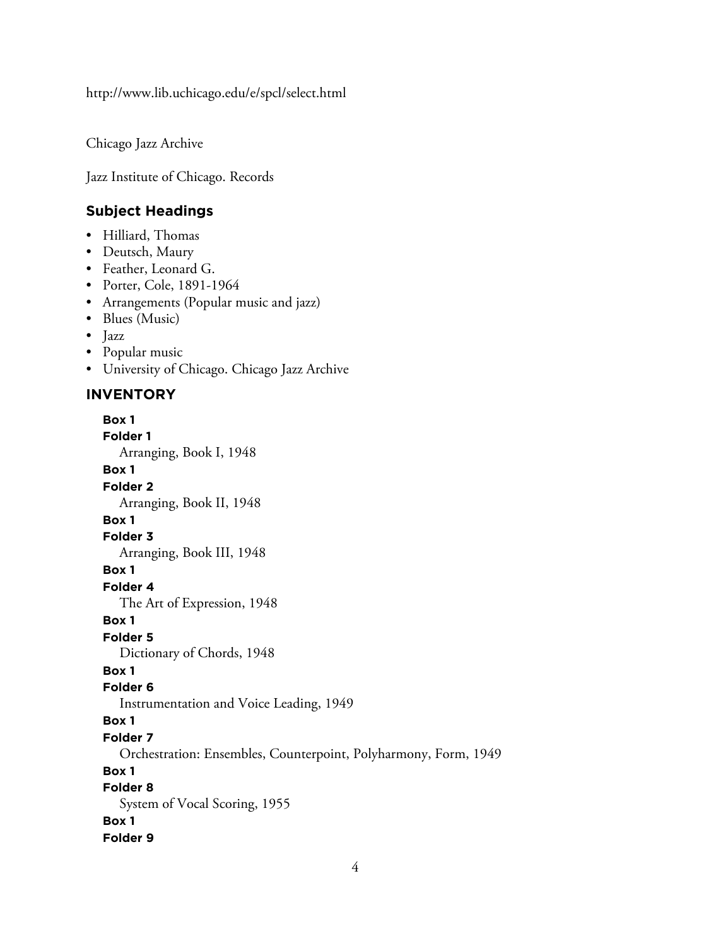http://www.lib.uchicago.edu/e/spcl/select.html

Chicago Jazz Archive

Jazz Institute of Chicago. Records

#### **Subject Headings**

- Hilliard, Thomas
- Deutsch, Maury
- Feather, Leonard G.
- Porter, Cole, 1891-1964
- Arrangements (Popular music and jazz)
- Blues (Music)
- Jazz
- Popular music
- University of Chicago. Chicago Jazz Archive

#### **INVENTORY**

**Box 1 Folder 1** Arranging, Book I, 1948 **Box 1 Folder 2** Arranging, Book II, 1948 **Box 1 Folder 3** Arranging, Book III, 1948 **Box 1 Folder 4** The Art of Expression, 1948 **Box 1 Folder 5** Dictionary of Chords, 1948 **Box 1 Folder 6** Instrumentation and Voice Leading, 1949 **Box 1 Folder 7** Orchestration: Ensembles, Counterpoint, Polyharmony, Form, 1949 **Box 1 Folder 8** System of Vocal Scoring, 1955 **Box 1 Folder 9**